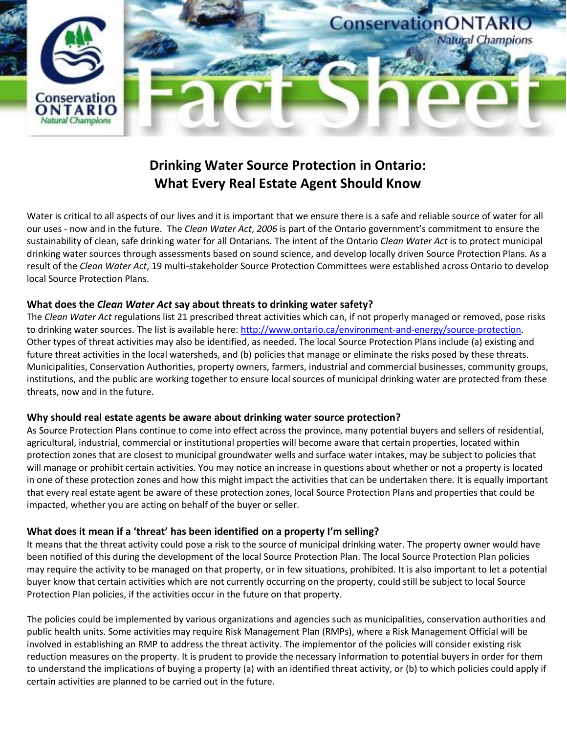

# **Drinking Water Source Protection in Ontario: What Every Real Estate Agent Should Know**

Water is critical to all aspects of our lives and it is important that we ensure there is a safe and reliable source of water for all our uses - now and in the future. The *Clean Water Act*, *2006* is part of the Ontario government's commitment to ensure the sustainability of clean, safe drinking water for all Ontarians. The intent of the Ontario *Clean Water Act* is to protect municipal drinking water sources through assessments based on sound science, and develop locally driven Source Protection Plans. As a result of the *Clean Water Act*, 19 multi-stakeholder Source Protection Committees were established across Ontario to develop local Source Protection Plans.

## **What does the** *Clean Water Act* **say about threats to drinking water safety?**

The *Clean Water Act* regulations list 21 prescribed threat activities which can, if not properly managed or removed, pose risks to drinking water sources. The list is available here: [http://www.ontario.ca/environment-and-energy/source-protection.](http://www.ontario.ca/environment-and-energy/source-protection) Other types of threat activities may also be identified, as needed. The local Source Protection Plans include (a) existing and future threat activities in the local watersheds, and (b) policies that manage or eliminate the risks posed by these threats. Municipalities, Conservation Authorities, property owners, farmers, industrial and commercial businesses, community groups, institutions, and the public are working together to ensure local sources of municipal drinking water are protected from these threats, now and in the future.

# **Why should real estate agents be aware about drinking water source protection?**

As Source Protection Plans continue to come into effect across the province, many potential buyers and sellers of residential, agricultural, industrial, commercial or institutional properties will become aware that certain properties, located within protection zones that are closest to municipal groundwater wells and surface water intakes, may be subject to policies that will manage or prohibit certain activities. You may notice an increase in questions about whether or not a property is located in one of these protection zones and how this might impact the activities that can be undertaken there. It is equally important that every real estate agent be aware of these protection zones, local Source Protection Plans and properties that could be impacted, whether you are acting on behalf of the buyer or seller.

# **What does it mean if a 'threat' has been identified on a property I'm selling?**

It means that the threat activity could pose a risk to the source of municipal drinking water. The property owner would have been notified of this during the development of the local Source Protection Plan. The local Source Protection Plan policies may require the activity to be managed on that property, or in few situations, prohibited. It is also important to let a potential buyer know that certain activities which are not currently occurring on the property, could still be subject to local Source Protection Plan policies, if the activities occur in the future on that property.

The policies could be implemented by various organizations and agencies such as municipalities, conservation authorities and public health units. Some activities may require Risk Management Plan (RMPs), where a Risk Management Official will be involved in establishing an RMP to address the threat activity. The implementor of the policies will consider existing risk reduction measures on the property. It is prudent to provide the necessary information to potential buyers in order for them to understand the implications of buying a property (a) with an identified threat activity, or (b) to which policies could apply if certain activities are planned to be carried out in the future.